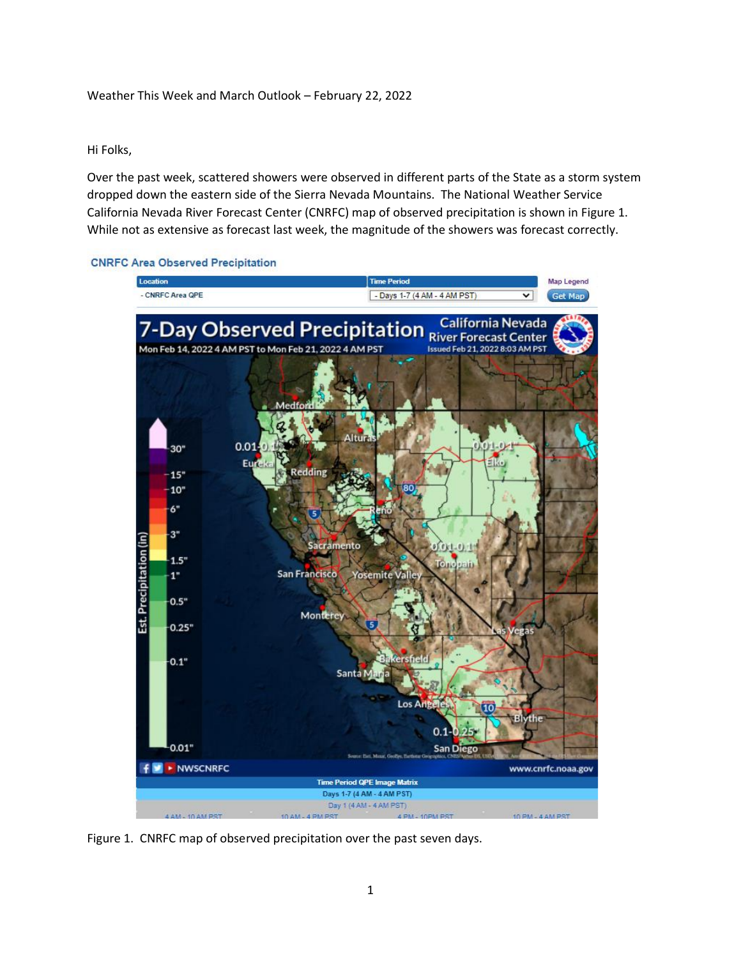## Weather This Week and March Outlook – February 22, 2022

### Hi Folks,

Over the past week, scattered showers were observed in different parts of the State as a storm system dropped down the eastern side of the Sierra Nevada Mountains. The National Weather Service California Nevada River Forecast Center (CNRFC) map of observed precipitation is shown in Figure 1. While not as extensive as forecast last week, the magnitude of the showers was forecast correctly.

#### **CNRFC Area Observed Precipitation**



Figure 1. CNRFC map of observed precipitation over the past seven days.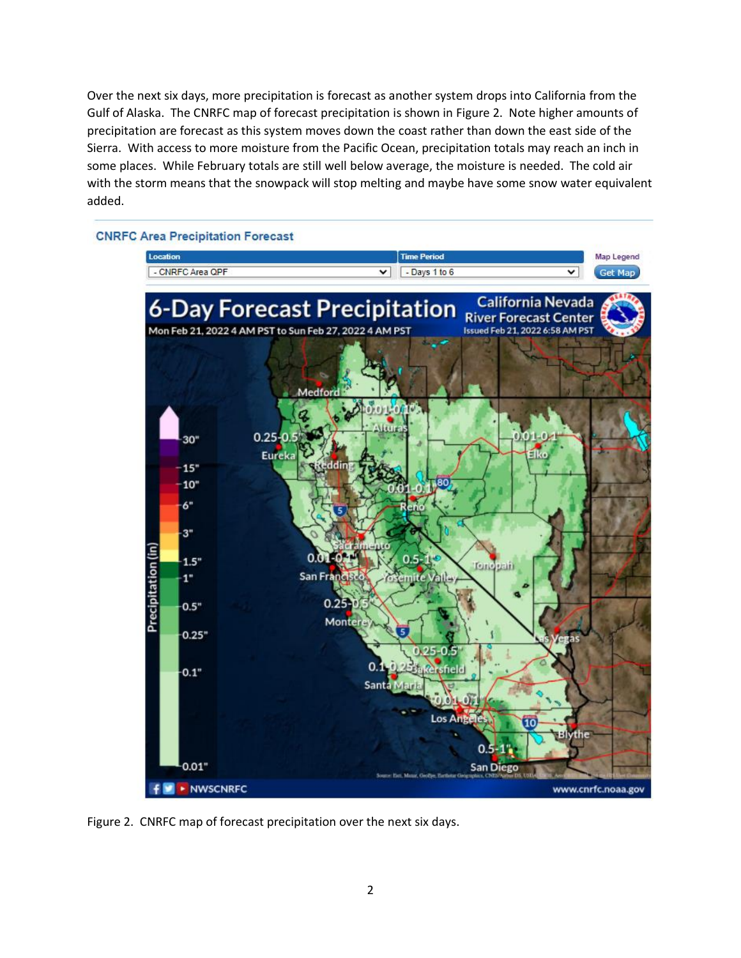Over the next six days, more precipitation is forecast as another system drops into California from the Gulf of Alaska. The CNRFC map of forecast precipitation is shown in Figure 2. Note higher amounts of precipitation are forecast as this system moves down the coast rather than down the east side of the Sierra. With access to more moisture from the Pacific Ocean, precipitation totals may reach an inch in some places. While February totals are still well below average, the moisture is needed. The cold air with the storm means that the snowpack will stop melting and maybe have some snow water equivalent added.



Figure 2. CNRFC map of forecast precipitation over the next six days.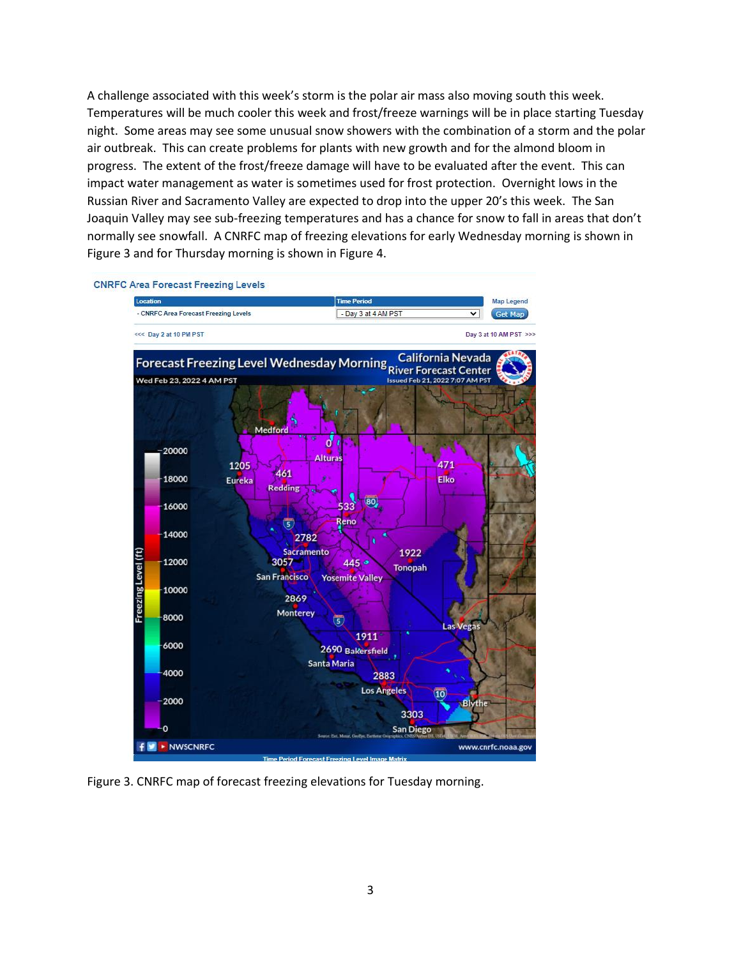A challenge associated with this week's storm is the polar air mass also moving south this week. Temperatures will be much cooler this week and frost/freeze warnings will be in place starting Tuesday night. Some areas may see some unusual snow showers with the combination of a storm and the polar air outbreak. This can create problems for plants with new growth and for the almond bloom in progress. The extent of the frost/freeze damage will have to be evaluated after the event. This can impact water management as water is sometimes used for frost protection. Overnight lows in the Russian River and Sacramento Valley are expected to drop into the upper 20's this week. The San Joaquin Valley may see sub-freezing temperatures and has a chance for snow to fall in areas that don't normally see snowfall. A CNRFC map of freezing elevations for early Wednesday morning is shown in Figure 3 and for Thursday morning is shown in Figure 4.



Figure 3. CNRFC map of forecast freezing elevations for Tuesday morning.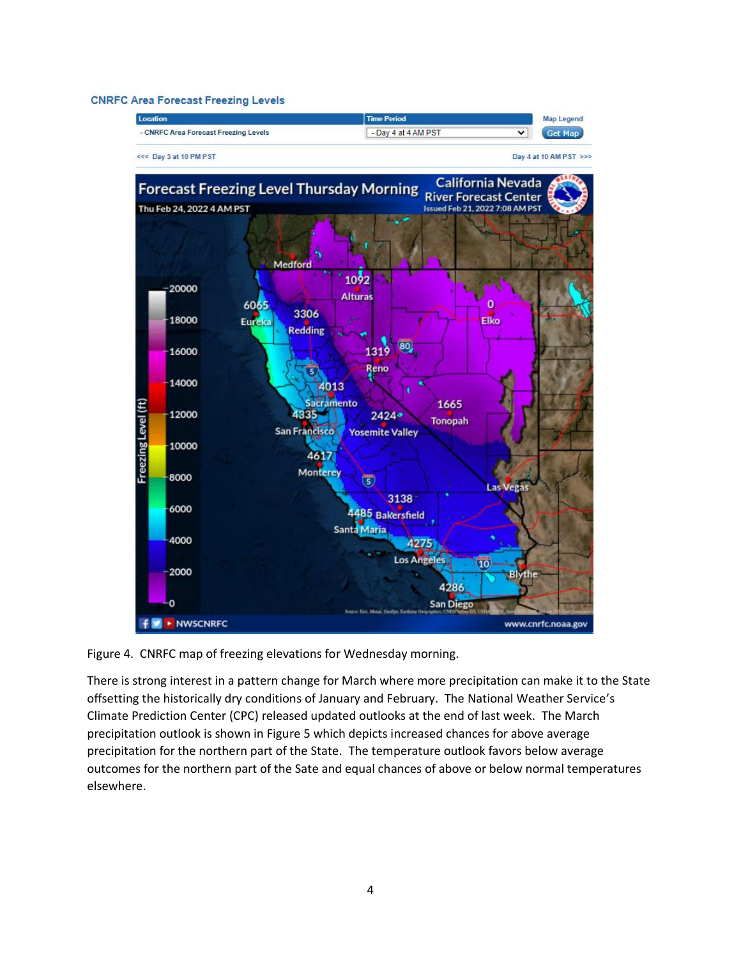#### **CNRFC Area Forecast Freezing Levels**



Figure 4. CNRFC map of freezing elevations for Wednesday morning.

There is strong interest in a pattern change for March where more precipitation can make it to the State offsetting the historically dry conditions of January and February. The National Weather Service's Climate Prediction Center (CPC) released updated outlooks at the end of last week. The March precipitation outlook is shown in Figure 5 which depicts increased chances for above average precipitation for the northern part of the State. The temperature outlook favors below average outcomes for the northern part of the Sate and equal chances of above or below normal temperatures elsewhere.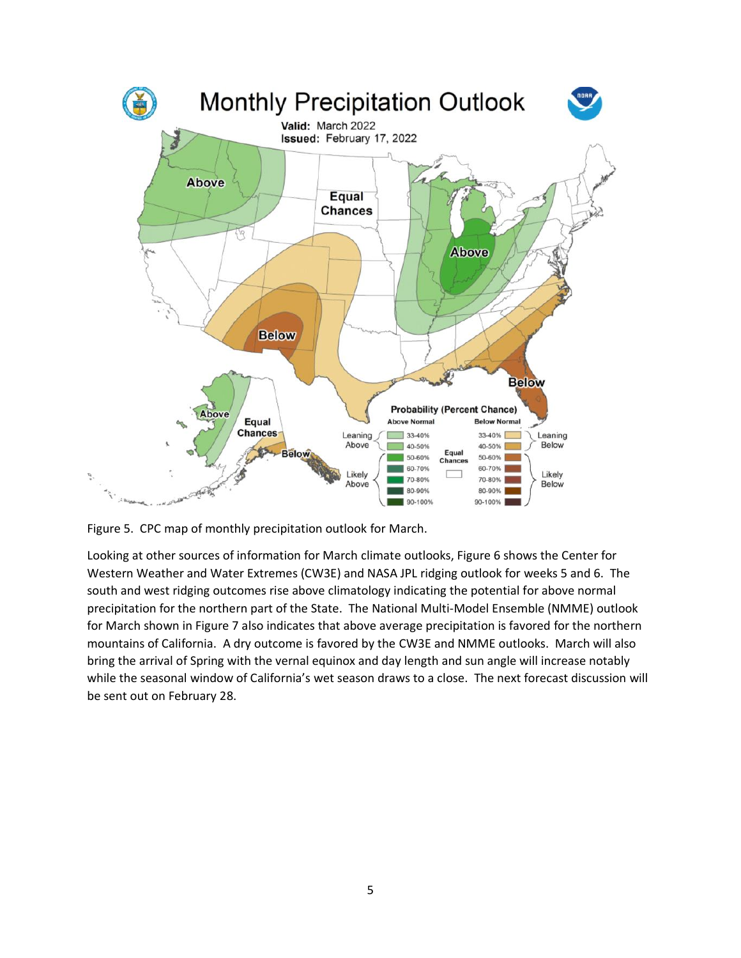

Figure 5. CPC map of monthly precipitation outlook for March.

Looking at other sources of information for March climate outlooks, Figure 6 shows the Center for Western Weather and Water Extremes (CW3E) and NASA JPL ridging outlook for weeks 5 and 6. The south and west ridging outcomes rise above climatology indicating the potential for above normal precipitation for the northern part of the State. The National Multi-Model Ensemble (NMME) outlook for March shown in Figure 7 also indicates that above average precipitation is favored for the northern mountains of California. A dry outcome is favored by the CW3E and NMME outlooks. March will also bring the arrival of Spring with the vernal equinox and day length and sun angle will increase notably while the seasonal window of California's wet season draws to a close. The next forecast discussion will be sent out on February 28.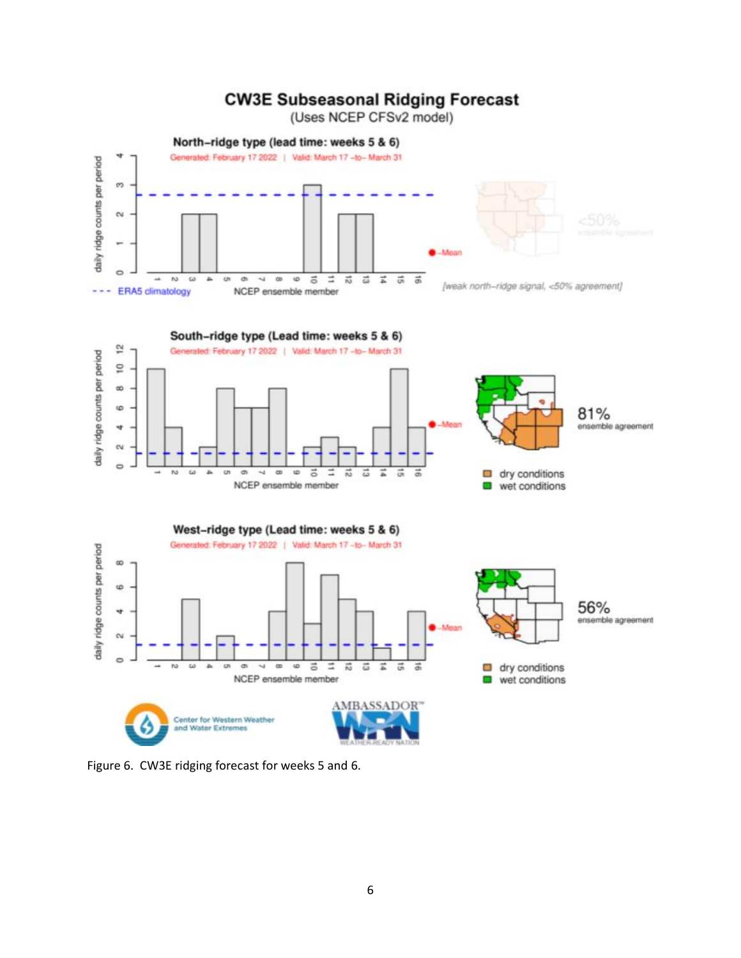# **CW3E Subseasonal Ridging Forecast**

(Uses NCEP CFSv2 model)



Figure 6. CW3E ridging forecast for weeks 5 and 6.